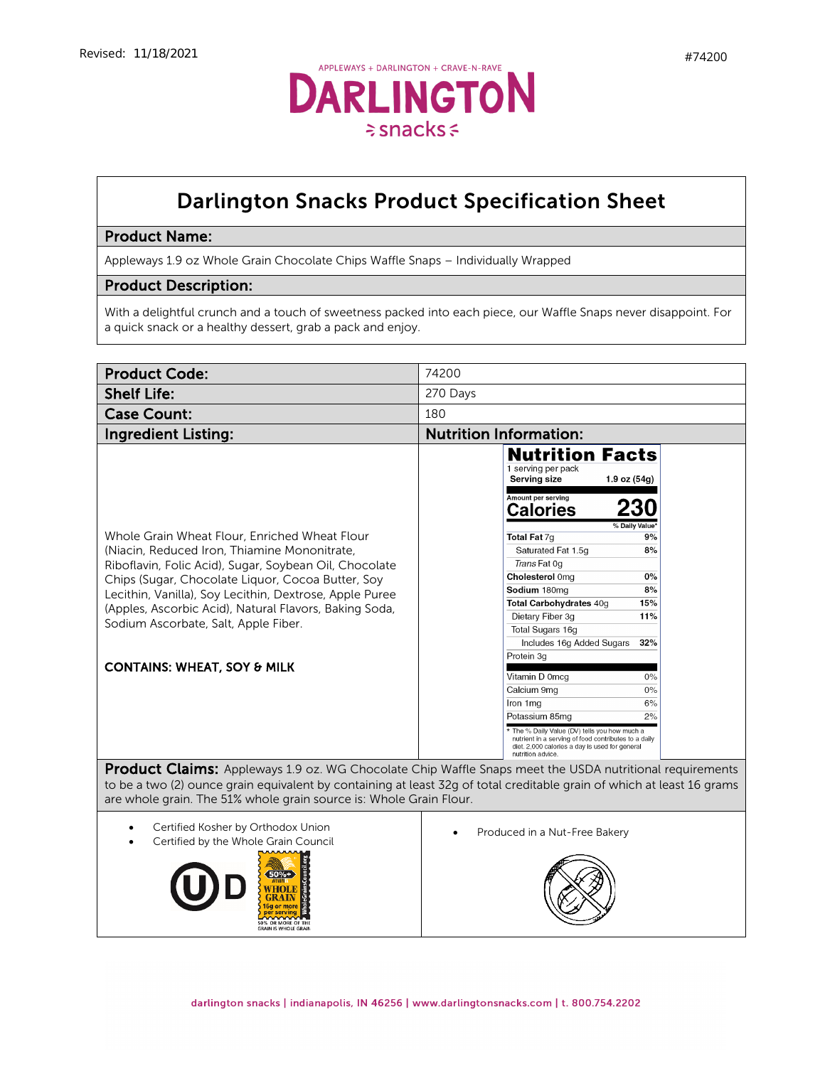

## Darlington Snacks Product Specification Sheet

## Product Name:

Appleways 1.9 oz Whole Grain Chocolate Chips Waffle Snaps – Individually Wrapped

## Product Description:

With a delightful crunch and a touch of sweetness packed into each piece, our Waffle Snaps never disappoint. For a quick snack or a healthy dessert, grab a pack and enjoy.

| <b>Product Code:</b>                                                                                                                                                                                                                                                                                                                                                                                                | 74200                                                                                                                                                                                                                                                                                                                                                                                                                                                                                                                                                                                                                                                                               |
|---------------------------------------------------------------------------------------------------------------------------------------------------------------------------------------------------------------------------------------------------------------------------------------------------------------------------------------------------------------------------------------------------------------------|-------------------------------------------------------------------------------------------------------------------------------------------------------------------------------------------------------------------------------------------------------------------------------------------------------------------------------------------------------------------------------------------------------------------------------------------------------------------------------------------------------------------------------------------------------------------------------------------------------------------------------------------------------------------------------------|
| <b>Shelf Life:</b>                                                                                                                                                                                                                                                                                                                                                                                                  | 270 Days                                                                                                                                                                                                                                                                                                                                                                                                                                                                                                                                                                                                                                                                            |
| <b>Case Count:</b>                                                                                                                                                                                                                                                                                                                                                                                                  | 180                                                                                                                                                                                                                                                                                                                                                                                                                                                                                                                                                                                                                                                                                 |
| <b>Ingredient Listing:</b>                                                                                                                                                                                                                                                                                                                                                                                          | <b>Nutrition Information:</b>                                                                                                                                                                                                                                                                                                                                                                                                                                                                                                                                                                                                                                                       |
| Whole Grain Wheat Flour, Enriched Wheat Flour<br>(Niacin, Reduced Iron, Thiamine Mononitrate,<br>Riboflavin, Folic Acid), Sugar, Soybean Oil, Chocolate<br>Chips (Sugar, Chocolate Liquor, Cocoa Butter, Soy<br>Lecithin, Vanilla), Soy Lecithin, Dextrose, Apple Puree<br>(Apples, Ascorbic Acid), Natural Flavors, Baking Soda,<br>Sodium Ascorbate, Salt, Apple Fiber.<br><b>CONTAINS: WHEAT, SOY &amp; MILK</b> | <b>Nutrition Facts</b><br>1 serving per pack<br><b>Serving size</b><br>$1.9$ oz $(54g)$<br>Amount per serving<br>230<br><b>Calories</b><br>% Daily Value<br>Total Fat 7g<br>9%<br>Saturated Fat 1.5q<br>8%<br>Trans Fat 0g<br>Cholesterol 0mg<br>0%<br>Sodium 180mg<br>8%<br>15%<br>Total Carbohydrates 40g<br>Dietary Fiber 3g<br>11%<br>Total Sugars 16g<br>Includes 16g Added Sugars<br>32%<br>Protein 3g<br>Vitamin D 0mcg<br>0%<br>0%<br>Calcium 9mg<br>6%<br>Iron 1mg<br>Potassium 85mg<br>2%<br>* The % Daily Value (DV) tells you how much a<br>nutrient in a serving of food contributes to a daily<br>diet. 2,000 calories a day is used for general<br>nutrition advice. |
| <b>Product Claims:</b> Appleways 1.9 oz. WG Chocolate Chip Waffle Snaps meet the USDA nutritional requirements<br>to be a two (2) ounce grain equivalent by containing at least 32g of total creditable grain of which at least 16 grams<br>are whole grain. The 51% whole grain source is: Whole Grain Flour.                                                                                                      |                                                                                                                                                                                                                                                                                                                                                                                                                                                                                                                                                                                                                                                                                     |
| Certified Kosher by Orthodox Union<br>Certified by the Whole Grain Council<br>50% OR MORE OF THE<br><b>GRAIN IS WHOLE GRAIN</b>                                                                                                                                                                                                                                                                                     | Produced in a Nut-Free Bakery                                                                                                                                                                                                                                                                                                                                                                                                                                                                                                                                                                                                                                                       |